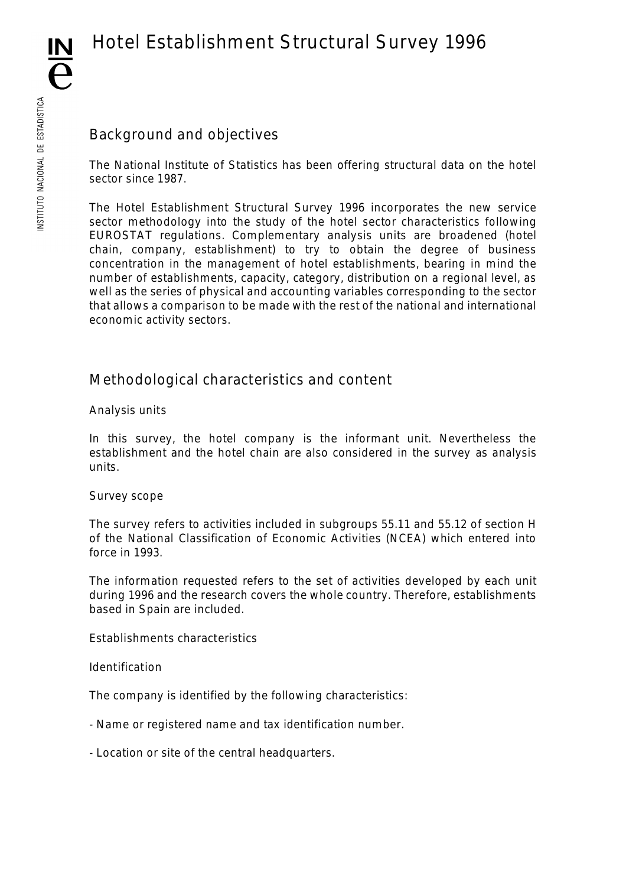# **Hotel Establishment Structural Survey 1996**

## **Background and objectives**

**The National Institute of Statistics has been offering structural data on the hotel sector since 1987.**

**The Hotel Establishment Structural Survey 1996 incorporates the new service sector methodology into the study of the hotel sector characteristics following EUROSTAT regulations. Complementary analysis units are broadened (hotel chain, company, establishment) to try to obtain the degree of business concentration in the management of hotel establishments, bearing in mind the number of establishments, capacity, category, distribution on a regional level, as well as the series of physical and accounting variables corresponding to the sector that allows a comparison to be made with the rest of the national and international economic activity sectors.**

## **Methodological characteristics and content**

**Analysis units**

**In this survey, the hotel company is the informant unit. Nevertheless the establishment and the hotel chain are also considered in the survey as analysis units.**

### **Survey scope**

**The survey refers to activities included in subgroups 55.11 and 55.12 of section H of the National Classification of Economic Activities (NCEA) which entered into force in 1993.**

**The information requested refers to the set of activities developed by each unit during 1996 and the research covers the whole country. Therefore, establishments based in Spain are included.**

**Establishments characteristics**

**Identification**

**The company is identified by the following characteristics:**

**- Name or registered name and tax identification number.**

**- Location or site of the central headquarters.**

IN

 $\overline{\mathbf{e}}$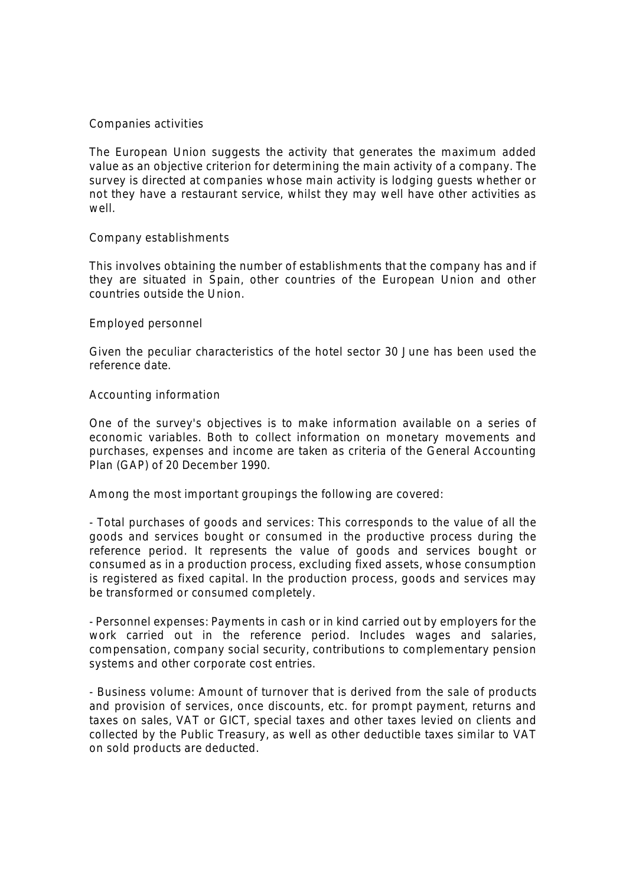#### **Companies activities**

**The European Union suggests the activity that generates the maximum added value as an objective criterion for determining the main activity of a company. The survey is directed at companies whose main activity is lodging guests whether or not they have a restaurant service, whilst they may well have other activities as well.**

#### **Company establishments**

**This involves obtaining the number of establishments that the company has and if they are situated in Spain, other countries of the European Union and other countries outside the Union.**

#### **Employed personnel**

**Given the peculiar characteristics of the hotel sector 30 June has been used the reference date.**

#### **Accounting information**

**One of the survey's objectives is to make information available on a series of economic variables. Both to collect information on monetary movements and purchases, expenses and income are taken as criteria of the General Accounting Plan (GAP) of 20 December 1990.**

**Among the most important groupings the following are covered:**

**- Total purchases of goods and services: This corresponds to the value of all the goods and services bought or consumed in the productive process during the reference period. It represents the value of goods and services bought or consumed as in a production process, excluding fixed assets, whose consumption is registered as fixed capital. In the production process, goods and services may be transformed or consumed completely.**

**- Personnel expenses: Payments in cash or in kind carried out by employers for the work carried out in the reference period. Includes wages and salaries, compensation, company social security, contributions to complementary pension systems and other corporate cost entries.**

**- Business volume: Amount of turnover that is derived from the sale of products and provision of services, once discounts, etc. for prompt payment, returns and taxes on sales, VAT or GICT, special taxes and other taxes levied on clients and collected by the Public Treasury, as well as other deductible taxes similar to VAT on sold products are deducted.**